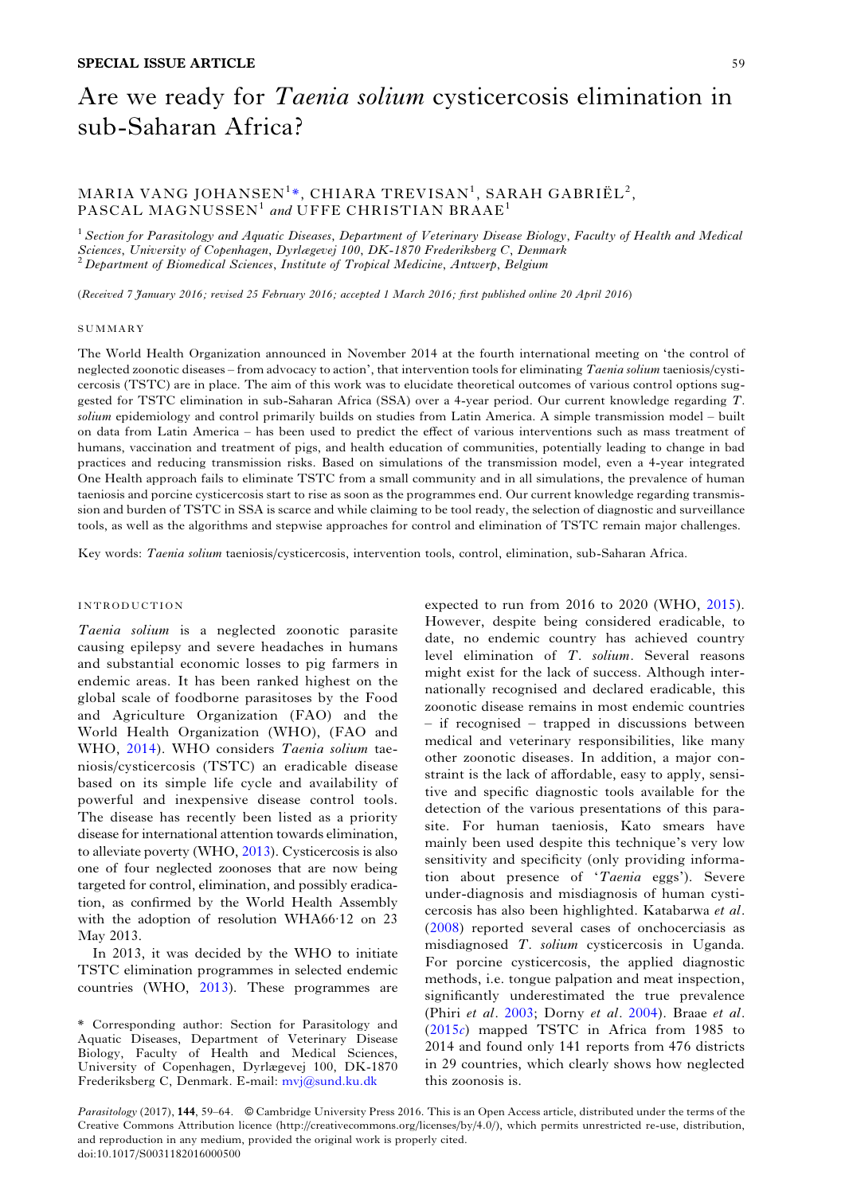# Are we ready for Taenia solium cysticercosis elimination in sub-Saharan Africa?

## MARIA VANG JOHANSEN $^{1*}$ , CHIARA TREVISAN $^{1}$ , SARAH GABRIËL $^{2}$ , PASCAL MAGNUSSEN<sup>1</sup> and UFFE CHRISTIAN BRAAE<sup>1</sup>

 $1$  Section for Parasitology and Aquatic Diseases, Department of Veterinary Disease Biology, Faculty of Health and Medical Sciences, University of Copenhagen, Dyrlægevej 100, DK-1870 Frederiksberg C, Denmark <sup>2</sup> Department of Biomedical Sciences, Institute of Tropical Medicine, Antwerp, Belgium

(Received 7 January 2016; revised 25 February 2016; accepted 1 March 2016; first published online 20 April 2016)

#### SUMMARY

The World Health Organization announced in November 2014 at the fourth international meeting on 'the control of neglected zoonotic diseases – from advocacy to action', that intervention tools for eliminating *Taenia solium* taeniosis/cysticercosis (TSTC) are in place. The aim of this work was to elucidate theoretical outcomes of various control options suggested for TSTC elimination in sub-Saharan Africa (SSA) over a 4-year period. Our current knowledge regarding T. solium epidemiology and control primarily builds on studies from Latin America. A simple transmission model – built on data from Latin America – has been used to predict the effect of various interventions such as mass treatment of humans, vaccination and treatment of pigs, and health education of communities, potentially leading to change in bad practices and reducing transmission risks. Based on simulations of the transmission model, even a 4-year integrated One Health approach fails to eliminate TSTC from a small community and in all simulations, the prevalence of human taeniosis and porcine cysticercosis start to rise as soon as the programmes end. Our current knowledge regarding transmission and burden of TSTC in SSA is scarce and while claiming to be tool ready, the selection of diagnostic and surveillance tools, as well as the algorithms and stepwise approaches for control and elimination of TSTC remain major challenges.

Key words: Taenia solium taeniosis/cysticercosis, intervention tools, control, elimination, sub-Saharan Africa.

## INTRODUCTION

Taenia solium is a neglected zoonotic parasite causing epilepsy and severe headaches in humans and substantial economic losses to pig farmers in endemic areas. It has been ranked highest on the global scale of foodborne parasitoses by the Food and Agriculture Organization (FAO) and the World Health Organization (WHO), (FAO and WHO, [2014](#page-5-0)). WHO considers Taenia solium taeniosis/cysticercosis (TSTC) an eradicable disease based on its simple life cycle and availability of powerful and inexpensive disease control tools. The disease has recently been listed as a priority disease for international attention towards elimination, to alleviate poverty (WHO, [2013\)](#page-5-0). Cysticercosis is also one of four neglected zoonoses that are now being targeted for control, elimination, and possibly eradication, as confirmed by the World Health Assembly with the adoption of resolution WHA66·12 on 23 May 2013.

In 2013, it was decided by the WHO to initiate TSTC elimination programmes in selected endemic countries (WHO, [2013\)](#page-5-0). These programmes are expected to run from 2016 to 2020 (WHO, [2015\)](#page-5-0). However, despite being considered eradicable, to date, no endemic country has achieved country level elimination of T. solium. Several reasons might exist for the lack of success. Although internationally recognised and declared eradicable, this zoonotic disease remains in most endemic countries – if recognised – trapped in discussions between medical and veterinary responsibilities, like many other zoonotic diseases. In addition, a major constraint is the lack of affordable, easy to apply, sensitive and specific diagnostic tools available for the detection of the various presentations of this parasite. For human taeniosis, Kato smears have mainly been used despite this technique's very low sensitivity and specificity (only providing information about presence of 'Taenia eggs'). Severe under-diagnosis and misdiagnosis of human cysticercosis has also been highlighted. Katabarwa et al. ([2008\)](#page-5-0) reported several cases of onchocerciasis as misdiagnosed T. solium cysticercosis in Uganda. For porcine cysticercosis, the applied diagnostic methods, i.e. tongue palpation and meat inspection, significantly underestimated the true prevalence (Phiri et al. [2003](#page-5-0); Dorny et al. [2004\)](#page-5-0). Braae et al.  $(2015c)$  $(2015c)$  $(2015c)$  mapped TSTC in Africa from 1985 to 2014 and found only 141 reports from 476 districts in 29 countries, which clearly shows how neglected this zoonosis is.

Parasitology (2017), 144, 59–64. © Cambridge University Press 2016. This is an Open Access article, distributed under the terms of the Creative Commons Attribution licence (http://creativecommons.org/licenses/by/4.0/), which permits unrestricted re-use, distribution, and reproduction in any medium, provided the original work is properly cited. doi:10.1017/S0031182016000500

<sup>\*</sup> Corresponding author: Section for Parasitology and Aquatic Diseases, Department of Veterinary Disease Biology, Faculty of Health and Medical Sciences, University of Copenhagen, Dyrlægevej 100, DK-1870 Frederiksberg C, Denmark. E-mail: [mvj@sund.ku.dk](mailto:mvj@sund.ku.dk)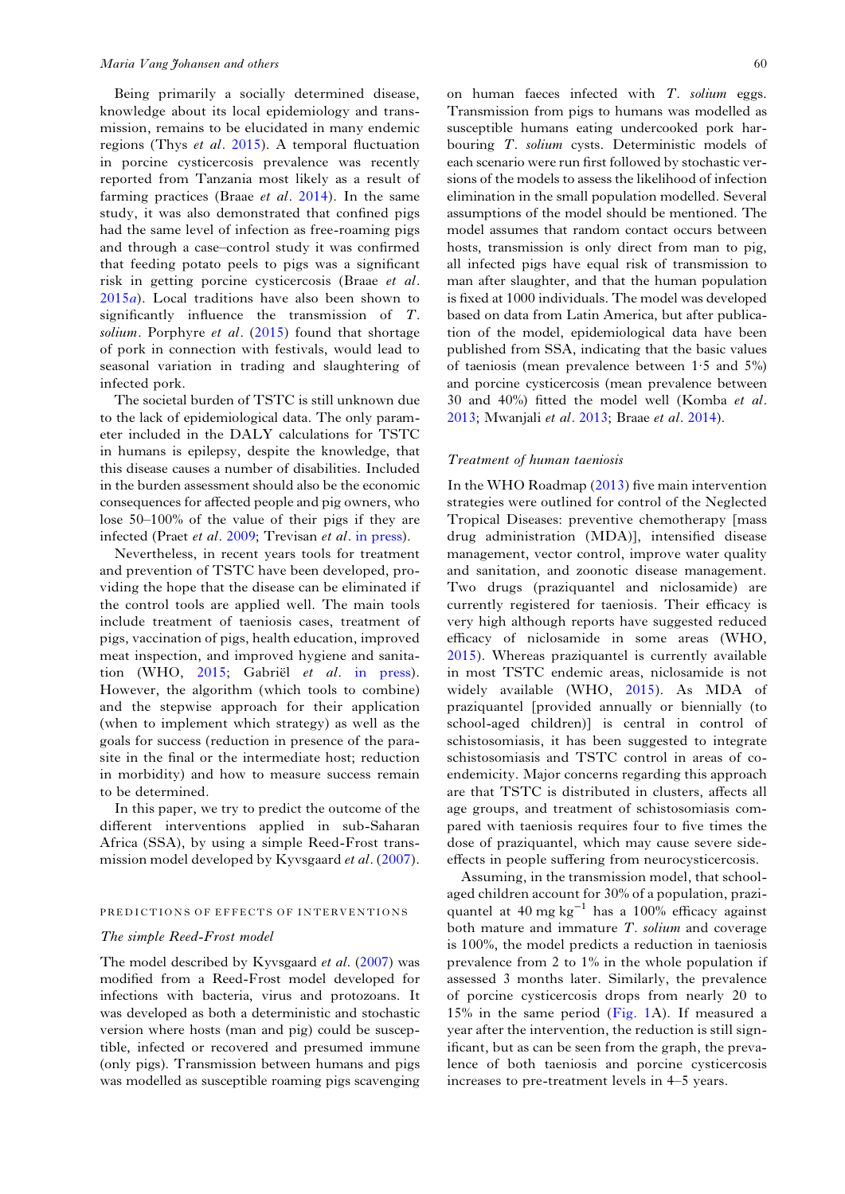Being primarily a socially determined disease, knowledge about its local epidemiology and transmission, remains to be elucidated in many endemic regions (Thys et al. [2015\)](#page-5-0). A temporal fluctuation in porcine cysticercosis prevalence was recently reported from Tanzania most likely as a result of farming practices (Braae *et al.*  $2014$ ). In the same study, it was also demonstrated that confined pigs had the same level of infection as free-roaming pigs and through a case–control study it was confirmed that feeding potato peels to pigs was a significant risk in getting porcine cysticercosis (Braae et al.  $2015a$  $2015a$ ). Local traditions have also been shown to significantly influence the transmission of T. solium. Porphyre et al.  $(2015)$  $(2015)$  found that shortage of pork in connection with festivals, would lead to seasonal variation in trading and slaughtering of infected pork.

The societal burden of TSTC is still unknown due to the lack of epidemiological data. The only parameter included in the DALY calculations for TSTC in humans is epilepsy, despite the knowledge, that this disease causes a number of disabilities. Included in the burden assessment should also be the economic consequences for affected people and pig owners, who lose 50–100% of the value of their pigs if they are infected (Praet et al. [2009;](#page-5-0) Trevisan et al. [in press](#page-5-0)).

Nevertheless, in recent years tools for treatment and prevention of TSTC have been developed, providing the hope that the disease can be eliminated if the control tools are applied well. The main tools include treatment of taeniosis cases, treatment of pigs, vaccination of pigs, health education, improved meat inspection, and improved hygiene and sanitation (WHO, [2015;](#page-5-0) Gabriël et al. [in press\)](#page-5-0). However, the algorithm (which tools to combine) and the stepwise approach for their application (when to implement which strategy) as well as the goals for success (reduction in presence of the parasite in the final or the intermediate host; reduction in morbidity) and how to measure success remain to be determined.

In this paper, we try to predict the outcome of the different interventions applied in sub-Saharan Africa (SSA), by using a simple Reed-Frost transmission model developed by Kyvsgaard et al. ([2007\)](#page-5-0).

## PREDICTIONS OF EFFECTS OF INTERVENTIONS

## The simple Reed-Frost model

The model described by Kyvsgaard et al. ([2007\)](#page-5-0) was modified from a Reed-Frost model developed for infections with bacteria, virus and protozoans. It was developed as both a deterministic and stochastic version where hosts (man and pig) could be susceptible, infected or recovered and presumed immune (only pigs). Transmission between humans and pigs was modelled as susceptible roaming pigs scavenging on human faeces infected with T. solium eggs. Transmission from pigs to humans was modelled as susceptible humans eating undercooked pork harbouring T. solium cysts. Deterministic models of each scenario were run first followed by stochastic versions of the models to assess the likelihood of infection elimination in the small population modelled. Several assumptions of the model should be mentioned. The model assumes that random contact occurs between hosts, transmission is only direct from man to pig, all infected pigs have equal risk of transmission to man after slaughter, and that the human population is fixed at 1000 individuals. The model was developed based on data from Latin America, but after publication of the model, epidemiological data have been published from SSA, indicating that the basic values of taeniosis (mean prevalence between  $1.5$  and  $5\%$ ) and porcine cysticercosis (mean prevalence between 30 and 40%) fitted the model well (Komba et al. [2013](#page-5-0); Mwanjali et al. [2013](#page-5-0); Braae et al. [2014\)](#page-5-0).

## Treatment of human taeniosis

In the WHO Roadmap [\(2013](#page-5-0)) five main intervention strategies were outlined for control of the Neglected Tropical Diseases: preventive chemotherapy [mass drug administration (MDA)], intensified disease management, vector control, improve water quality and sanitation, and zoonotic disease management. Two drugs (praziquantel and niclosamide) are currently registered for taeniosis. Their efficacy is very high although reports have suggested reduced efficacy of niclosamide in some areas (WHO, [2015\)](#page-5-0). Whereas praziquantel is currently available in most TSTC endemic areas, niclosamide is not widely available (WHO, [2015\)](#page-5-0). As MDA of praziquantel [provided annually or biennially (to school-aged children)] is central in control of schistosomiasis, it has been suggested to integrate schistosomiasis and TSTC control in areas of coendemicity. Major concerns regarding this approach are that TSTC is distributed in clusters, affects all age groups, and treatment of schistosomiasis compared with taeniosis requires four to five times the dose of praziquantel, which may cause severe sideeffects in people suffering from neurocysticercosis.

Assuming, in the transmission model, that schoolaged children account for 30% of a population, praziquantel at 40 mg kg<sup>-1</sup> has a 100% efficacy against both mature and immature T. solium and coverage is 100%, the model predicts a reduction in taeniosis prevalence from 2 to 1% in the whole population if assessed 3 months later. Similarly, the prevalence of porcine cysticercosis drops from nearly 20 to 15% in the same period [\(Fig. 1A](#page-2-0)). If measured a year after the intervention, the reduction is still significant, but as can be seen from the graph, the prevalence of both taeniosis and porcine cysticercosis increases to pre-treatment levels in 4–5 years.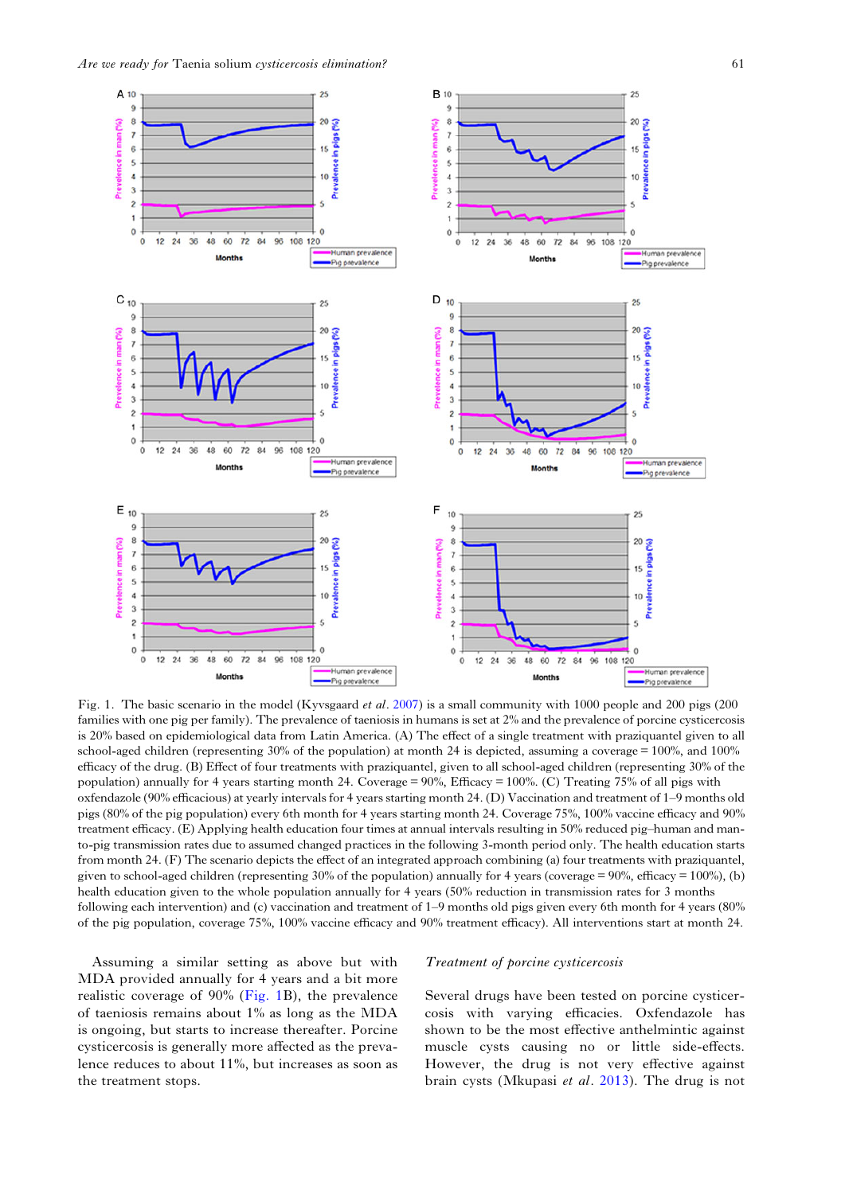<span id="page-2-0"></span>

Fig. 1. The basic scenario in the model (Kyvsgaard et al. [2007\)](#page-5-0) is a small community with 1000 people and 200 pigs (200) families with one pig per family). The prevalence of taeniosis in humans is set at 2% and the prevalence of porcine cysticercosis is 20% based on epidemiological data from Latin America. (A) The effect of a single treatment with praziquantel given to all school-aged children (representing  $30\%$  of the population) at month 24 is depicted, assuming a coverage =  $100\%$ , and  $100\%$ efficacy of the drug. (B) Effect of four treatments with praziquantel, given to all school-aged children (representing 30% of the population) annually for 4 years starting month 24. Coverage = 90%, Efficacy = 100%. (C) Treating 75% of all pigs with oxfendazole (90% efficacious) at yearly intervals for 4 years starting month 24. (D) Vaccination and treatment of 1–9 months old pigs (80% of the pig population) every 6th month for 4 years starting month 24. Coverage 75%, 100% vaccine efficacy and 90% treatment efficacy. (E) Applying health education four times at annual intervals resulting in 50% reduced pig–human and manto-pig transmission rates due to assumed changed practices in the following 3-month period only. The health education starts from month 24. (F) The scenario depicts the effect of an integrated approach combining (a) four treatments with praziquantel, given to school-aged children (representing 30% of the population) annually for 4 years (coverage = 90%, efficacy = 100%), (b) health education given to the whole population annually for 4 years (50% reduction in transmission rates for 3 months following each intervention) and (c) vaccination and treatment of 1–9 months old pigs given every 6th month for 4 years (80% of the pig population, coverage 75%, 100% vaccine efficacy and 90% treatment efficacy). All interventions start at month 24.

Assuming a similar setting as above but with MDA provided annually for 4 years and a bit more realistic coverage of 90% (Fig. 1B), the prevalence of taeniosis remains about 1% as long as the MDA is ongoing, but starts to increase thereafter. Porcine cysticercosis is generally more affected as the prevalence reduces to about 11%, but increases as soon as the treatment stops.

## Treatment of porcine cysticercosis

Several drugs have been tested on porcine cysticercosis with varying efficacies. Oxfendazole has shown to be the most effective anthelmintic against muscle cysts causing no or little side-effects. However, the drug is not very effective against brain cysts (Mkupasi et al. [2013](#page-5-0)). The drug is not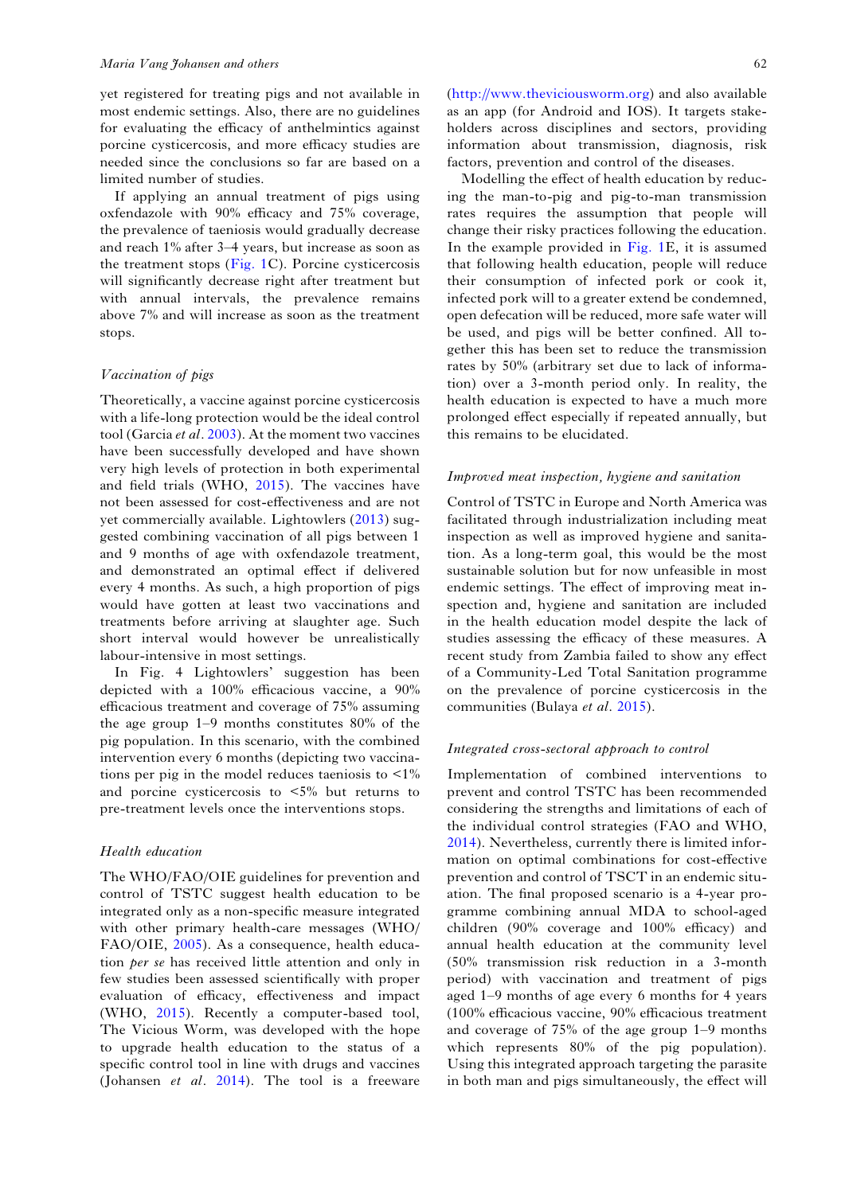yet registered for treating pigs and not available in most endemic settings. Also, there are no guidelines for evaluating the efficacy of anthelmintics against porcine cysticercosis, and more efficacy studies are needed since the conclusions so far are based on a limited number of studies.

If applying an annual treatment of pigs using oxfendazole with 90% efficacy and 75% coverage, the prevalence of taeniosis would gradually decrease and reach 1% after 3–4 years, but increase as soon as the treatment stops [\(Fig. 1C](#page-2-0)). Porcine cysticercosis will significantly decrease right after treatment but with annual intervals, the prevalence remains above 7% and will increase as soon as the treatment stops.

## Vaccination of pigs

Theoretically, a vaccine against porcine cysticercosis with a life-long protection would be the ideal control tool (Garcia et al.  $2003$ ). At the moment two vaccines have been successfully developed and have shown very high levels of protection in both experimental and field trials (WHO, [2015\)](#page-5-0). The vaccines have not been assessed for cost-effectiveness and are not yet commercially available. Lightowlers ([2013\)](#page-5-0) suggested combining vaccination of all pigs between 1 and 9 months of age with oxfendazole treatment, and demonstrated an optimal effect if delivered every 4 months. As such, a high proportion of pigs would have gotten at least two vaccinations and treatments before arriving at slaughter age. Such short interval would however be unrealistically labour-intensive in most settings.

In Fig. 4 Lightowlers' suggestion has been depicted with a 100% efficacious vaccine, a 90% efficacious treatment and coverage of 75% assuming the age group 1–9 months constitutes 80% of the pig population. In this scenario, with the combined intervention every 6 months (depicting two vaccinations per pig in the model reduces taeniosis to  $\leq 1\%$ and porcine cysticercosis to <5% but returns to pre-treatment levels once the interventions stops.

## Health education

The WHO/FAO/OIE guidelines for prevention and control of TSTC suggest health education to be integrated only as a non-specific measure integrated with other primary health-care messages (WHO/ FAO/OIE, [2005\)](#page-5-0). As a consequence, health education per se has received little attention and only in few studies been assessed scientifically with proper evaluation of efficacy, effectiveness and impact (WHO, [2015\)](#page-5-0). Recently a computer-based tool, The Vicious Worm, was developed with the hope to upgrade health education to the status of a specific control tool in line with drugs and vaccines (Johansen et al. [2014\)](#page-5-0). The tool is a freeware

[\(http://www.theviciousworm.org\)](http://www.theviciousworm.org) and also available as an app (for Android and IOS). It targets stakeholders across disciplines and sectors, providing information about transmission, diagnosis, risk factors, prevention and control of the diseases.

Modelling the effect of health education by reducing the man-to-pig and pig-to-man transmission rates requires the assumption that people will change their risky practices following the education. In the example provided in [Fig. 1E](#page-2-0), it is assumed that following health education, people will reduce their consumption of infected pork or cook it, infected pork will to a greater extend be condemned, open defecation will be reduced, more safe water will be used, and pigs will be better confined. All together this has been set to reduce the transmission rates by 50% (arbitrary set due to lack of information) over a 3-month period only. In reality, the health education is expected to have a much more prolonged effect especially if repeated annually, but this remains to be elucidated.

## Improved meat inspection, hygiene and sanitation

Control of TSTC in Europe and North America was facilitated through industrialization including meat inspection as well as improved hygiene and sanitation. As a long-term goal, this would be the most sustainable solution but for now unfeasible in most endemic settings. The effect of improving meat inspection and, hygiene and sanitation are included in the health education model despite the lack of studies assessing the efficacy of these measures. A recent study from Zambia failed to show any effect of a Community-Led Total Sanitation programme on the prevalence of porcine cysticercosis in the communities (Bulaya et al. [2015\)](#page-5-0).

## Integrated cross-sectoral approach to control

Implementation of combined interventions to prevent and control TSTC has been recommended considering the strengths and limitations of each of the individual control strategies (FAO and WHO, [2014\)](#page-5-0). Nevertheless, currently there is limited information on optimal combinations for cost-effective prevention and control of TSCT in an endemic situation. The final proposed scenario is a 4-year programme combining annual MDA to school-aged children (90% coverage and 100% efficacy) and annual health education at the community level (50% transmission risk reduction in a 3-month period) with vaccination and treatment of pigs aged 1–9 months of age every 6 months for 4 years (100% efficacious vaccine, 90% efficacious treatment and coverage of 75% of the age group 1–9 months which represents 80% of the pig population). Using this integrated approach targeting the parasite in both man and pigs simultaneously, the effect will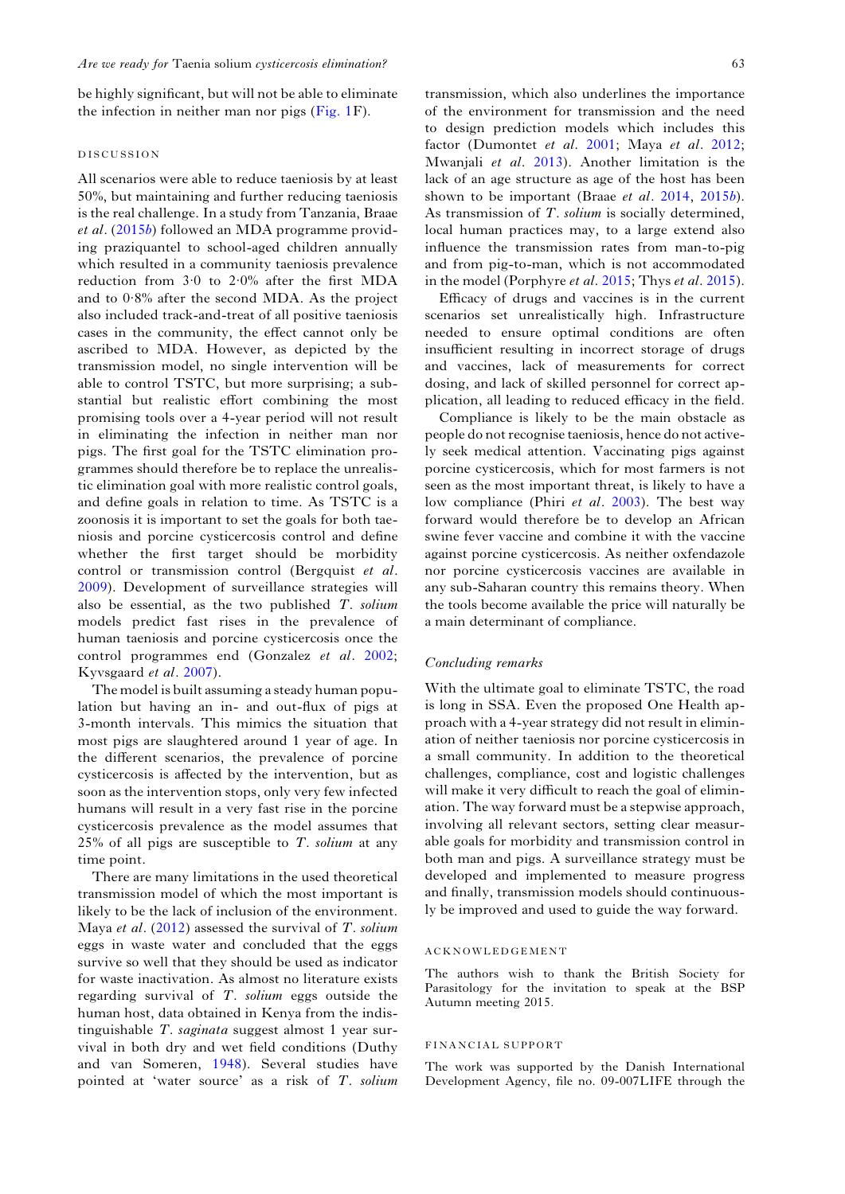be highly significant, but will not be able to eliminate the infection in neither man nor pigs [\(Fig. 1](#page-2-0)F).

## DISCUSSION

All scenarios were able to reduce taeniosis by at least 50%, but maintaining and further reducing taeniosis is the real challenge. In a study from Tanzania, Braae et al. ([2015](#page-5-0)b) followed an MDA programme providing praziquantel to school-aged children annually which resulted in a community taeniosis prevalence reduction from  $3.0$  to  $2.0\%$  after the first MDA and to  $0.8\%$  after the second MDA. As the project also included track-and-treat of all positive taeniosis cases in the community, the effect cannot only be ascribed to MDA. However, as depicted by the transmission model, no single intervention will be able to control TSTC, but more surprising; a substantial but realistic effort combining the most promising tools over a 4-year period will not result in eliminating the infection in neither man nor pigs. The first goal for the TSTC elimination programmes should therefore be to replace the unrealistic elimination goal with more realistic control goals, and define goals in relation to time. As TSTC is a zoonosis it is important to set the goals for both taeniosis and porcine cysticercosis control and define whether the first target should be morbidity control or transmission control (Bergquist et al. [2009\)](#page-5-0). Development of surveillance strategies will also be essential, as the two published T. solium models predict fast rises in the prevalence of human taeniosis and porcine cysticercosis once the control programmes end (Gonzalez et al. [2002](#page-5-0); Kyvsgaard et al. [2007\)](#page-5-0).

The model is built assuming a steady human population but having an in- and out-flux of pigs at 3-month intervals. This mimics the situation that most pigs are slaughtered around 1 year of age. In the different scenarios, the prevalence of porcine cysticercosis is affected by the intervention, but as soon as the intervention stops, only very few infected humans will result in a very fast rise in the porcine cysticercosis prevalence as the model assumes that  $25\%$  of all pigs are susceptible to T. solium at any time point.

There are many limitations in the used theoretical transmission model of which the most important is likely to be the lack of inclusion of the environment. Maya et al.  $(2012)$  $(2012)$  assessed the survival of T. solium eggs in waste water and concluded that the eggs survive so well that they should be used as indicator for waste inactivation. As almost no literature exists regarding survival of T. solium eggs outside the human host, data obtained in Kenya from the indistinguishable T. saginata suggest almost 1 year survival in both dry and wet field conditions (Duthy and van Someren, [1948](#page-5-0)). Several studies have pointed at 'water source' as a risk of T. solium

transmission, which also underlines the importance of the environment for transmission and the need to design prediction models which includes this factor (Dumontet et al. [2001;](#page-5-0) Maya et al. [2012](#page-5-0); Mwanjali et al. [2013\)](#page-5-0). Another limitation is the lack of an age structure as age of the host has been shown to be important (Braae et al. [2014](#page-5-0), [2015](#page-5-0)b). As transmission of T. solium is socially determined, local human practices may, to a large extend also influence the transmission rates from man-to-pig and from pig-to-man, which is not accommodated in the model (Porphyre et al. [2015;](#page-5-0) Thys et al. [2015\)](#page-5-0).

Efficacy of drugs and vaccines is in the current scenarios set unrealistically high. Infrastructure needed to ensure optimal conditions are often insufficient resulting in incorrect storage of drugs and vaccines, lack of measurements for correct dosing, and lack of skilled personnel for correct application, all leading to reduced efficacy in the field.

Compliance is likely to be the main obstacle as people do not recognise taeniosis, hence do not actively seek medical attention. Vaccinating pigs against porcine cysticercosis, which for most farmers is not seen as the most important threat, is likely to have a low compliance (Phiri et al. [2003\)](#page-5-0). The best way forward would therefore be to develop an African swine fever vaccine and combine it with the vaccine against porcine cysticercosis. As neither oxfendazole nor porcine cysticercosis vaccines are available in any sub-Saharan country this remains theory. When the tools become available the price will naturally be a main determinant of compliance.

## Concluding remarks

With the ultimate goal to eliminate TSTC, the road is long in SSA. Even the proposed One Health approach with a 4-year strategy did not result in elimination of neither taeniosis nor porcine cysticercosis in a small community. In addition to the theoretical challenges, compliance, cost and logistic challenges will make it very difficult to reach the goal of elimination. The way forward must be a stepwise approach, involving all relevant sectors, setting clear measurable goals for morbidity and transmission control in both man and pigs. A surveillance strategy must be developed and implemented to measure progress and finally, transmission models should continuously be improved and used to guide the way forward.

#### ACKNOWLEDGEMENT

The authors wish to thank the British Society for Parasitology for the invitation to speak at the BSP Autumn meeting 2015.

### FINANCIAL SUPPORT

The work was supported by the Danish International Development Agency, file no. 09-007LIFE through the